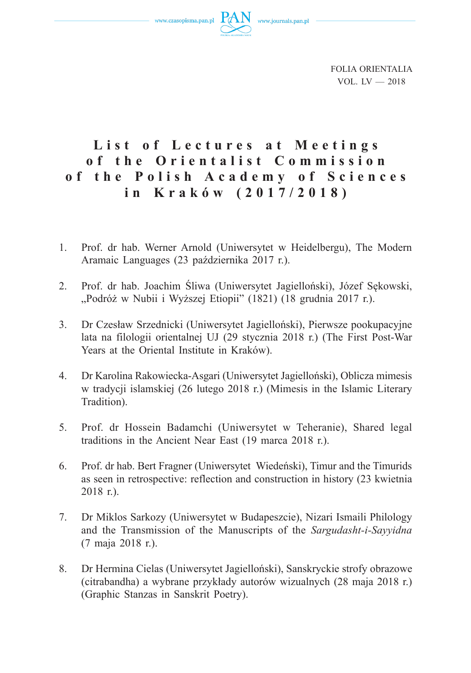www.czasopisma.pan.pl



FOLIA ORIENTALIA  $VOL$   $IV - 2018$ 

## List of Lectures at Meetings **o f t h e O r i e n t a l i s t C o m m i s s i o n o f t h e P o l i s h A c a d e m y o f S c i e n c e s in Kraków (2017/2018)**

- 1. Prof. dr hab. Werner Arnold (Uniwersytet w Heidelbergu), The Modern Aramaic Languages (23 października 2017 r.).
- 2. Prof. dr hab. Joachim Śliwa (Uniwersytet Jagielloński), Józef Sękowski, "Podróż w Nubii i Wyższej Etiopii" (1821) (18 grudnia 2017 r.).
- 3. Dr Czesław Srzednicki (Uniwersytet Jagielloński), Pierwsze pookupacyjne lata na filologii orientalnej UJ (29 stycznia 2018 r.) (The First Post-War Years at the Oriental Institute in Kraków).
- 4. Dr Karolina Rakowiecka-Asgari (Uniwersytet Jagielloński), Oblicza mimesis w tradycji islamskiej (26 lutego 2018 r.) (Mimesis in the Islamic Literary Tradition).
- 5. Prof. dr Hossein Badamchi (Uniwersytet w Teheranie), Shared legal traditions in the Ancient Near East (19 marca 2018 r.).
- 6. Prof. dr hab. Bert Fragner (Uniwersytet Wiedeński), Timur and the Timurids as seen in retrospective: reflection and construction in history (23 kwietnia 2018 r.).
- 7. Dr Miklos Sarkozy (Uniwersytet w Budapeszcie), Nizari Ismaili Philology and the Transmission of the Manuscripts of the *Sargudasht-i-Sayyidna*  (7 maja 2018 r.).
- 8. Dr Hermina Cielas (Uniwersytet Jagielloński), Sanskryckie strofy obrazowe (citrabandha) a wybrane przykłady autorów wizualnych (28 maja 2018 r.) (Graphic Stanzas in Sanskrit Poetry).